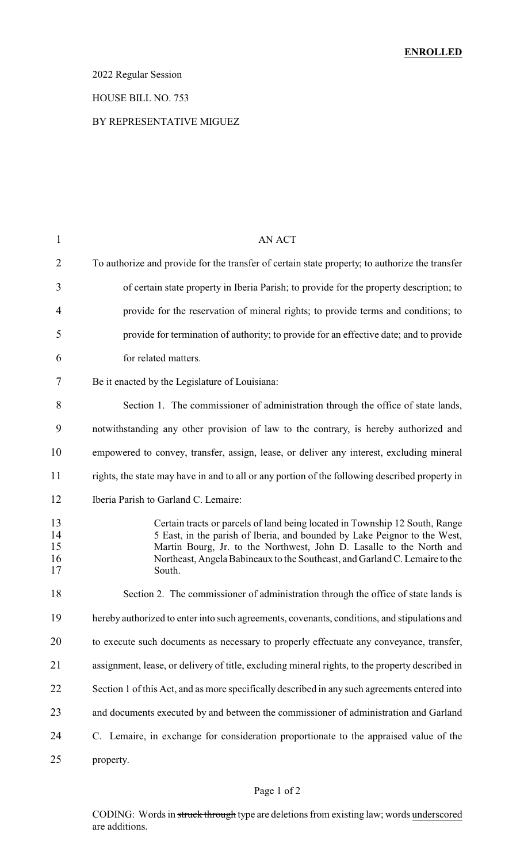## 2022 Regular Session

#### HOUSE BILL NO. 753

#### BY REPRESENTATIVE MIGUEZ

| $\mathbf{1}$               | AN ACT                                                                                                                                                                                                                                                                                                                    |
|----------------------------|---------------------------------------------------------------------------------------------------------------------------------------------------------------------------------------------------------------------------------------------------------------------------------------------------------------------------|
| $\overline{2}$             | To authorize and provide for the transfer of certain state property, to authorize the transfer                                                                                                                                                                                                                            |
| 3                          | of certain state property in Iberia Parish; to provide for the property description; to                                                                                                                                                                                                                                   |
| 4                          | provide for the reservation of mineral rights; to provide terms and conditions; to                                                                                                                                                                                                                                        |
| 5                          | provide for termination of authority; to provide for an effective date; and to provide                                                                                                                                                                                                                                    |
| 6                          | for related matters.                                                                                                                                                                                                                                                                                                      |
| 7                          | Be it enacted by the Legislature of Louisiana:                                                                                                                                                                                                                                                                            |
| 8                          | Section 1. The commissioner of administration through the office of state lands,                                                                                                                                                                                                                                          |
| 9                          | notwithstanding any other provision of law to the contrary, is hereby authorized and                                                                                                                                                                                                                                      |
| 10                         | empowered to convey, transfer, assign, lease, or deliver any interest, excluding mineral                                                                                                                                                                                                                                  |
| 11                         | rights, the state may have in and to all or any portion of the following described property in                                                                                                                                                                                                                            |
| 12                         | Iberia Parish to Garland C. Lemaire:                                                                                                                                                                                                                                                                                      |
| 13<br>14<br>15<br>16<br>17 | Certain tracts or parcels of land being located in Township 12 South, Range<br>5 East, in the parish of Iberia, and bounded by Lake Peignor to the West,<br>Martin Bourg, Jr. to the Northwest, John D. Lasalle to the North and<br>Northeast, Angela Babineaux to the Southeast, and Garland C. Lemaire to the<br>South. |
| 18                         | Section 2. The commissioner of administration through the office of state lands is                                                                                                                                                                                                                                        |
| 19                         | hereby authorized to enter into such agreements, covenants, conditions, and stipulations and                                                                                                                                                                                                                              |
| 20                         | to execute such documents as necessary to properly effectuate any conveyance, transfer,                                                                                                                                                                                                                                   |
| 21                         | assignment, lease, or delivery of title, excluding mineral rights, to the property described in                                                                                                                                                                                                                           |
| 22                         | Section 1 of this Act, and as more specifically described in any such agreements entered into                                                                                                                                                                                                                             |
| 23                         | and documents executed by and between the commissioner of administration and Garland                                                                                                                                                                                                                                      |
| 24                         | C. Lemaire, in exchange for consideration proportionate to the appraised value of the                                                                                                                                                                                                                                     |
| 25                         | property.                                                                                                                                                                                                                                                                                                                 |

## Page 1 of 2

CODING: Words in struck through type are deletions from existing law; words underscored are additions.